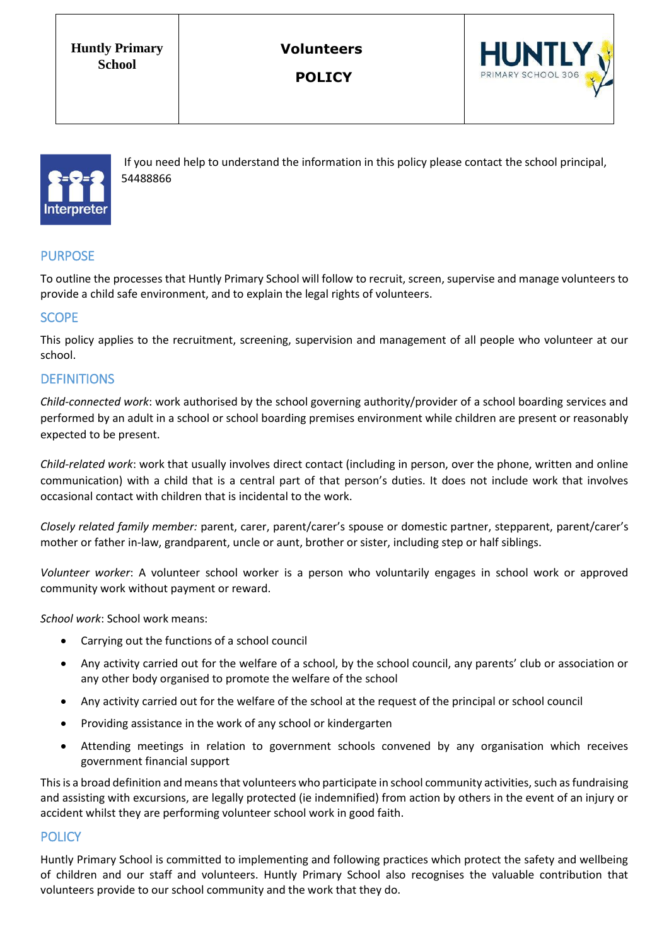**Huntly Primary School**

**Volunteers**

**POLICY**





If you need help to understand the information in this policy please contact the school principal, 54488866

# PURPOSE

To outline the processes that Huntly Primary School will follow to recruit, screen, supervise and manage volunteers to provide a child safe environment, and to explain the legal rights of volunteers.

### **SCOPE**

This policy applies to the recruitment, screening, supervision and management of all people who volunteer at our school.

#### **DEFINITIONS**

*Child-connected work*: work authorised by the school governing authority/provider of a school boarding services and performed by an adult in a school or school boarding premises environment while children are present or reasonably expected to be present.

*Child-related work*: work that usually involves direct contact (including in person, over the phone, written and online communication) with a child that is a central part of that person's duties. It does not include work that involves occasional contact with children that is incidental to the work.

*Closely related family member:* parent, carer, parent/carer's spouse or domestic partner, stepparent, parent/carer's mother or father in-law, grandparent, uncle or aunt, brother or sister, including step or half siblings.

*Volunteer worker*: A volunteer school worker is a person who voluntarily engages in school work or approved community work without payment or reward.

*School work*: School work means:

- Carrying out the functions of a school council
- Any activity carried out for the welfare of a school, by the school council, any parents' club or association or any other body organised to promote the welfare of the school
- Any activity carried out for the welfare of the school at the request of the principal or school council
- Providing assistance in the work of any school or kindergarten
- Attending meetings in relation to government schools convened by any organisation which receives government financial support

This is a broad definition and means that volunteers who participate in school community activities, such as fundraising and assisting with excursions, are legally protected (ie indemnified) from action by others in the event of an injury or accident whilst they are performing volunteer school work in good faith.

#### **POLICY**

Huntly Primary School is committed to implementing and following practices which protect the safety and wellbeing of children and our staff and volunteers. Huntly Primary School also recognises the valuable contribution that volunteers provide to our school community and the work that they do.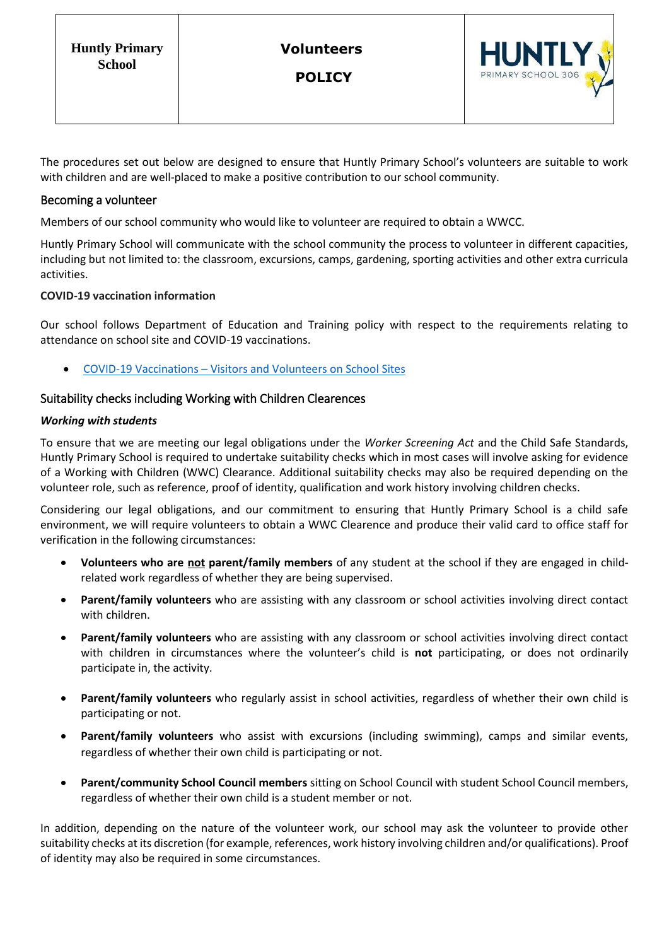**POLICY**



The procedures set out below are designed to ensure that Huntly Primary School's volunteers are suitable to work with children and are well-placed to make a positive contribution to our school community.

#### Becoming a volunteer

Members of our school community who would like to volunteer are required to obtain a WWCC.

Huntly Primary School will communicate with the school community the process to volunteer in different capacities, including but not limited to: the classroom, excursions, camps, gardening, sporting activities and other extra curricula activities.

#### **COVID-19 vaccination information**

Our school follows Department of Education and Training policy with respect to the requirements relating to attendance on school site and COVID-19 vaccinations.

• COVID-19 Vaccinations – [Visitors and Volunteers on School Sites](https://www2.education.vic.gov.au/pal/covid-19-vaccinations-visitors-volunteers/policy)

#### Suitability checks including Working with Children Clearences

#### *Working with students*

To ensure that we are meeting our legal obligations under the *Worker Screening Act* and the Child Safe Standards, Huntly Primary School is required to undertake suitability checks which in most cases will involve asking for evidence of a Working with Children (WWC) Clearance. Additional suitability checks may also be required depending on the volunteer role, such as reference, proof of identity, qualification and work history involving children checks.

Considering our legal obligations, and our commitment to ensuring that Huntly Primary School is a child safe environment, we will require volunteers to obtain a WWC Clearence and produce their valid card to office staff for verification in the following circumstances:

- **Volunteers who are not parent/family members** of any student at the school if they are engaged in childrelated work regardless of whether they are being supervised.
- **Parent/family volunteers** who are assisting with any classroom or school activities involving direct contact with children.
- **Parent/family volunteers** who are assisting with any classroom or school activities involving direct contact with children in circumstances where the volunteer's child is **not** participating, or does not ordinarily participate in, the activity.
- **Parent/family volunteers** who regularly assist in school activities, regardless of whether their own child is participating or not.
- **Parent/family volunteers** who assist with excursions (including swimming), camps and similar events, regardless of whether their own child is participating or not.
- **Parent/community School Council members** sitting on School Council with student School Council members, regardless of whether their own child is a student member or not.

In addition, depending on the nature of the volunteer work, our school may ask the volunteer to provide other suitability checks at its discretion (for example, references, work history involving children and/or qualifications). Proof of identity may also be required in some circumstances.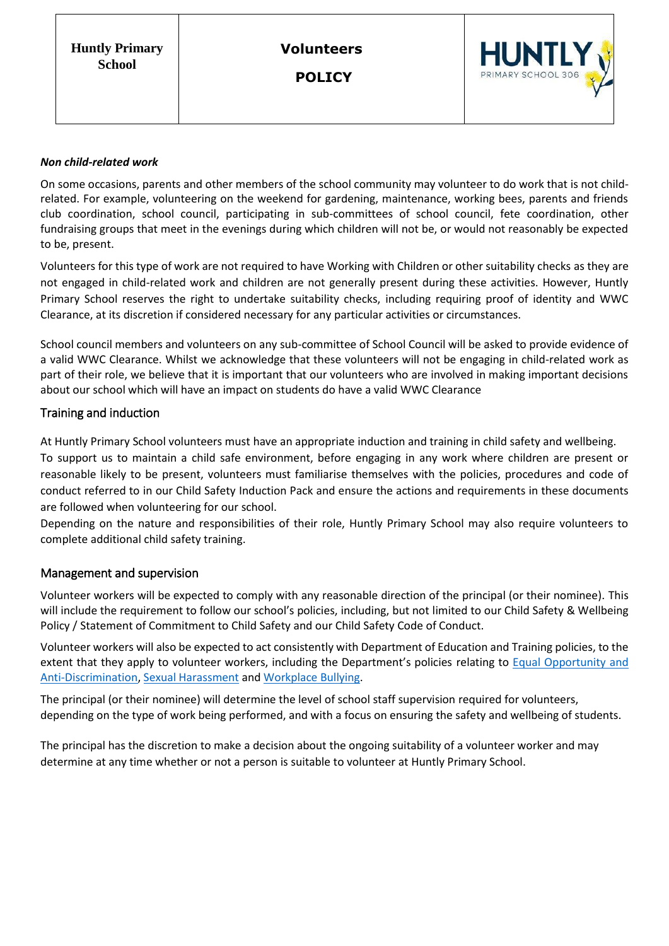**POLICY**



#### *Non child-related work*

On some occasions, parents and other members of the school community may volunteer to do work that is not childrelated. For example, volunteering on the weekend for gardening, maintenance, working bees, parents and friends club coordination, school council, participating in sub-committees of school council, fete coordination, other fundraising groups that meet in the evenings during which children will not be, or would not reasonably be expected to be, present.

Volunteers for this type of work are not required to have Working with Children or other suitability checks as they are not engaged in child-related work and children are not generally present during these activities. However, Huntly Primary School reserves the right to undertake suitability checks, including requiring proof of identity and WWC Clearance, at its discretion if considered necessary for any particular activities or circumstances.

School council members and volunteers on any sub-committee of School Council will be asked to provide evidence of a valid WWC Clearance. Whilst we acknowledge that these volunteers will not be engaging in child-related work as part of their role, we believe that it is important that our volunteers who are involved in making important decisions about our school which will have an impact on students do have a valid WWC Clearance

### Training and induction

At Huntly Primary School volunteers must have an appropriate induction and training in child safety and wellbeing.

To support us to maintain a child safe environment, before engaging in any work where children are present or reasonable likely to be present, volunteers must familiarise themselves with the policies, procedures and code of conduct referred to in our Child Safety Induction Pack and ensure the actions and requirements in these documents are followed when volunteering for our school.

Depending on the nature and responsibilities of their role, Huntly Primary School may also require volunteers to complete additional child safety training.

#### Management and supervision

Volunteer workers will be expected to comply with any reasonable direction of the principal (or their nominee). This will include the requirement to follow our school's policies, including, but not limited to our Child Safety & Wellbeing Policy / Statement of Commitment to Child Safety and our Child Safety Code of Conduct.

Volunteer workers will also be expected to act consistently with Department of Education and Training policies, to the extent that they apply to volunteer workers, including the Department's policies relating to [Equal Opportunity and](https://www2.education.vic.gov.au/pal/equal-opportunity/policy-and-guidelines)  [Anti-Discrimination,](https://www2.education.vic.gov.au/pal/equal-opportunity/policy-and-guidelines) [Sexual Harassment](https://www2.education.vic.gov.au/pal/sexual-harassment/overview) an[d Workplace Bullying.](https://www2.education.vic.gov.au/pal/workplace-bullying/policy)

The principal (or their nominee) will determine the level of school staff supervision required for volunteers, depending on the type of work being performed, and with a focus on ensuring the safety and wellbeing of students.

The principal has the discretion to make a decision about the ongoing suitability of a volunteer worker and may determine at any time whether or not a person is suitable to volunteer at Huntly Primary School.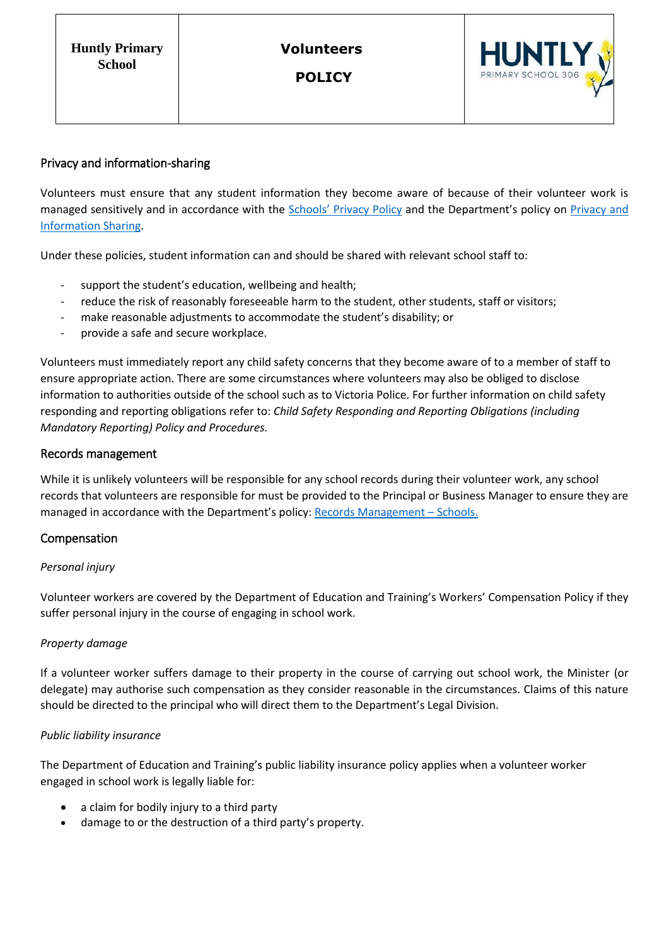**POLICY**



## Privacy and information-sharing

Volunteers must ensure that any student information they become aware of because of their volunteer work is managed sensitively and in accordance with the Schools' [Privacy Policy](https://www.education.vic.gov.au/Pages/schoolsprivacypolicy.aspx) and the Department's policy on Privacy and [Information Sharing.](https://www2.education.vic.gov.au/pal/privacy-information-sharing/policy)

Under these policies, student information can and should be shared with relevant school staff to:

- support the student's education, wellbeing and health;
- reduce the risk of reasonably foreseeable harm to the student, other students, staff or visitors;
- make reasonable adjustments to accommodate the student's disability; or
- provide a safe and secure workplace.

Volunteers must immediately report any child safety concerns that they become aware of to a member of staff to ensure appropriate action. There are some circumstances where volunteers may also be obliged to disclose information to authorities outside of the school such as to Victoria Police. For further information on child safety responding and reporting obligations refer to: *Child Safety Responding and Reporting Obligations (including Mandatory Reporting) Policy and Procedures.* 

#### Records management

While it is unlikely volunteers will be responsible for any school records during their volunteer work, any school records that volunteers are responsible for must be provided to the Principal or Business Manager to ensure they are managed in accordance with the Department's policy: [Records Management](https://www2.education.vic.gov.au/pal/records-management/policy) – Schools.

## Compensation

## *Personal injury*

Volunteer workers are covered by the Department of Education and Training's Workers' Compensation Policy if they suffer personal injury in the course of engaging in school work.

#### *Property damage*

If a volunteer worker suffers damage to their property in the course of carrying out school work, the Minister (or delegate) may authorise such compensation as they consider reasonable in the circumstances. Claims of this nature should be directed to the principal who will direct them to the Department's Legal Division.

#### *Public liability insurance*

The Department of Education and Training's public liability insurance policy applies when a volunteer worker engaged in school work is legally liable for:

- a claim for bodily injury to a third party
- damage to or the destruction of a third party's property.